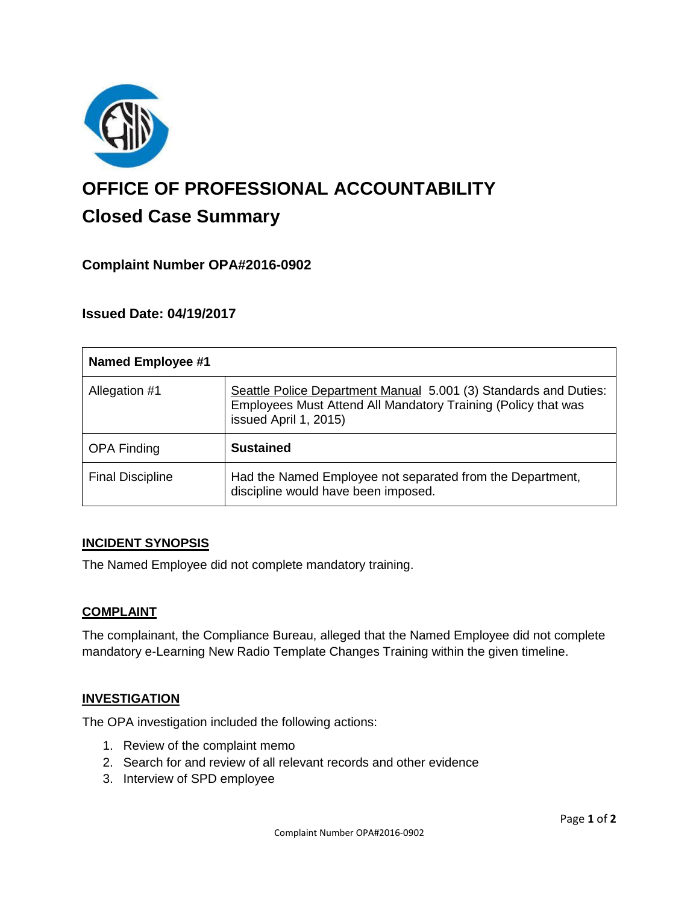

# **OFFICE OF PROFESSIONAL ACCOUNTABILITY Closed Case Summary**

## **Complaint Number OPA#2016-0902**

## **Issued Date: 04/19/2017**

| <b>Named Employee #1</b> |                                                                                                                                                            |
|--------------------------|------------------------------------------------------------------------------------------------------------------------------------------------------------|
| Allegation #1            | Seattle Police Department Manual 5.001 (3) Standards and Duties:<br>Employees Must Attend All Mandatory Training (Policy that was<br>issued April 1, 2015) |
| <b>OPA Finding</b>       | <b>Sustained</b>                                                                                                                                           |
| <b>Final Discipline</b>  | Had the Named Employee not separated from the Department,<br>discipline would have been imposed.                                                           |

#### **INCIDENT SYNOPSIS**

The Named Employee did not complete mandatory training.

#### **COMPLAINT**

The complainant, the Compliance Bureau, alleged that the Named Employee did not complete mandatory e-Learning New Radio Template Changes Training within the given timeline.

#### **INVESTIGATION**

The OPA investigation included the following actions:

- 1. Review of the complaint memo
- 2. Search for and review of all relevant records and other evidence
- 3. Interview of SPD employee